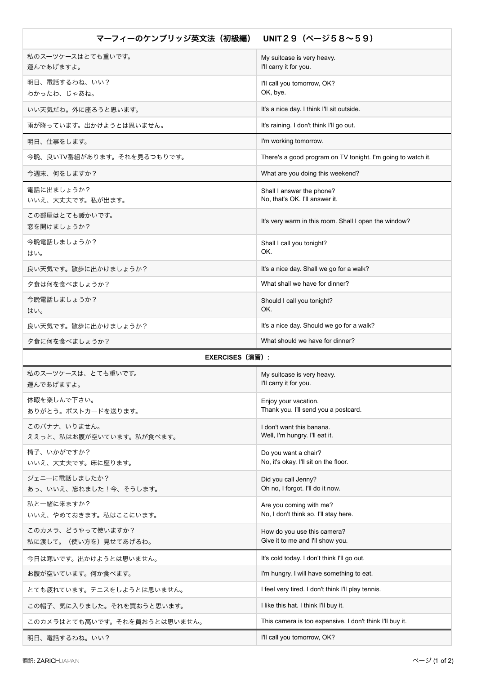| マーフィーのケンブリッジ英文法(初級編)                      | UNIT29 $(A - 358 - 59)$                                          |
|-------------------------------------------|------------------------------------------------------------------|
| 私のスーツケースはとても重いです。                         | My suitcase is very heavy.                                       |
| 運んであげますよ。                                 | I'll carry it for you.                                           |
| 明日、電話するわね、いい?<br>わかったわ、じゃあね。              | I'll call you tomorrow, OK?<br>OK, bye.                          |
| いい天気だわ。外に座ろうと思います。                        | It's a nice day. I think I'll sit outside.                       |
| 雨が降っています。出かけようとは思いません。                    | It's raining. I don't think I'll go out.                         |
| 明日、仕事をします。                                | I'm working tomorrow.                                            |
| 今晩、良いTV番組があります。それを見るつもりです。                | There's a good program on TV tonight. I'm going to watch it.     |
| 今週末、何をしますか?                               | What are you doing this weekend?                                 |
| 電話に出ましょうか?<br>いいえ、大丈夫です。私が出ます。            | Shall I answer the phone?<br>No, that's OK. I'll answer it.      |
| この部屋はとても暖かいです。<br>窓を開けましょうか?              | It's very warm in this room. Shall I open the window?            |
| 今晩電話しましょうか?<br>はい。                        | Shall I call you tonight?<br>OK.                                 |
| 良い天気です。散歩に出かけましょうか?                       | It's a nice day. Shall we go for a walk?                         |
| 夕食は何を食べましょうか?                             | What shall we have for dinner?                                   |
| 今晩電話しましょうか?<br>はい。                        | Should I call you tonight?<br>OK.                                |
| 良い天気です。散歩に出かけましょうか?                       | It's a nice day. Should we go for a walk?                        |
| 夕食に何を食べましょうか?                             | What should we have for dinner?                                  |
| <b>EXERCISES (演習):</b>                    |                                                                  |
| 私のスーツケースは、とても重いです。<br>運んであげますよ。           | My suitcase is very heavy.<br>I'll carry it for you.             |
| 休暇を楽しんで下さい。<br>ありがとう。ポストカードを送ります。         | Enjoy your vacation.<br>Thank you. I'll send you a postcard.     |
| このバナナ、いりません。<br>ええっと、私はお腹が空いています。私が食べます。  | I don't want this banana.<br>Well, I'm hungry. I'll eat it.      |
| 椅子、いかがですか?<br>いいえ、大丈夫です。床に座ります。           | Do you want a chair?<br>No, it's okay. I'll sit on the floor.    |
| ジェニーに電話しましたか?<br>あっ、いいえ、忘れました!今、そうします。    | Did you call Jenny?<br>Oh no, I forgot. I'll do it now.          |
| 私と一緒に来ますか?<br>いいえ、やめておきます。私はここにいます。       | Are you coming with me?<br>No, I don't think so. I'll stay here. |
| このカメラ、どうやって使いますか?<br>私に渡して。(使い方を)見せてあげるわ。 | How do you use this camera?<br>Give it to me and I'll show you.  |
| 今日は寒いです。出かけようとは思いません。                     | It's cold today. I don't think I'll go out.                      |
| お腹が空いています。何か食べます。                         | I'm hungry. I will have something to eat.                        |
| とても疲れています。テニスをしようとは思いません。                 | I feel very tired. I don't think I'll play tennis.               |
| この帽子、気に入りました。それを買おうと思います。                 | I like this hat. I think I'll buy it.                            |
| このカメラはとても高いです。それを買おうとは思いません。              | This camera is too expensive. I don't think I'll buy it.         |
| 明日、電話するわね。いい?                             | I'll call you tomorrow, OK?                                      |